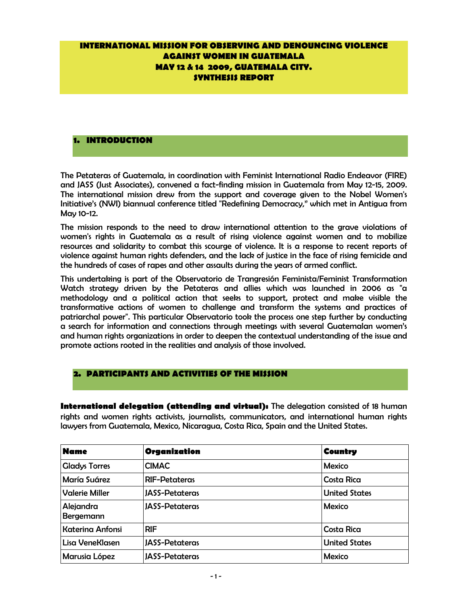# **INTERNATIONAL MISSION FOR OBSERVING AND DENOUNCING VIOLENCE AGAINST WOMEN IN GUATEMALA MAY 12 & 14 2009, GUATEMALA CITY. SYNTHESIS REPORT**

## **1. INTRODUCTION**

The Petateras of Guatemala, in coordination with Feminist International Radio Endeavor (FIRE) and JASS (Just Associates), convened a fact-finding mission in Guatemala from May 12-15, 2009. The international mission drew from the support and coverage given to the Nobel Women's Initiative's (NWI) biannual conference titled "Redefining Democracy," which met in Antigua from May 10-12.

The mission responds to the need to draw international attention to the grave violations of women's rights in Guatemala as a result of rising violence against women and to mobilize resources and solidarity to combat this scourge of violence. It is a response to recent reports of violence against human rights defenders, and the lack of justice in the face of rising femicide and the hundreds of cases of rapes and other assaults during the years of armed conflict.

This undertaking is part of the Observatorio de Trangresión Feminista/Feminist Transformation Watch strategy driven by the Petateras and allies which was launched in 2006 as "a methodology and a political action that seeks to support, protect and make visible the transformative actions of women to challenge and transform the systems and practices of patriarchal power". This particular Observatorio took the process one step further by conducting a search for information and connections through meetings with several Guatemalan women's and human rights organizations in order to deepen the contextual understanding of the issue and promote actions rooted in the realities and analysis of those involved.

## **2. PARTICIPANTS AND ACTIVITIES OF THE MISSION**

**International delegation (attending and virtual):** The delegation consisted of 18 human rights and women rights activists, journalists, communicators, and international human rights lawyers from Guatemala, Mexico, Nicaragua, Costa Rica, Spain and the United States.

| <b>Name</b>             | Organization          | <b>Country</b>       |
|-------------------------|-----------------------|----------------------|
| <b>Gladys Torres</b>    | <b>CIMAC</b>          | <b>Mexico</b>        |
| María Suárez            | <b>RIF-Petateras</b>  | Costa Rica           |
| <b>Valerie Miller</b>   | <b>JASS-Petateras</b> | <b>United States</b> |
| Alejandra<br>Bergemann  | <b>JASS-Petateras</b> | <b>Mexico</b>        |
| <b>Katerina Anfonsi</b> | <b>RIF</b>            | Costa Rica           |
| Lisa VeneKlasen         | <b>JASS-Petateras</b> | <b>United States</b> |
| Marusia López           | <b>JASS-Petateras</b> | <b>Mexico</b>        |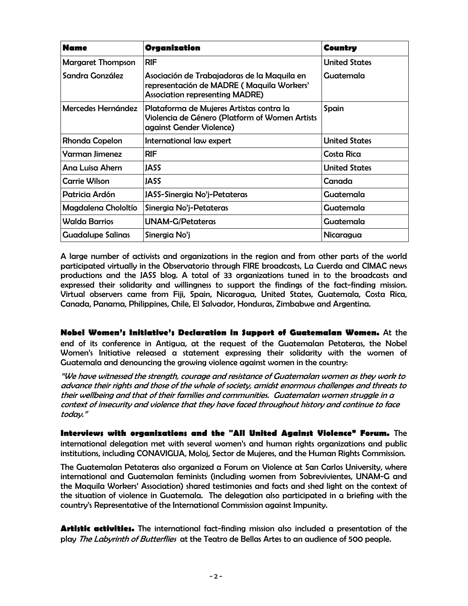| <b>Name</b>              | Organization                                                                                                                       | <b>Country</b>       |
|--------------------------|------------------------------------------------------------------------------------------------------------------------------------|----------------------|
| <b>Margaret Thompson</b> | RIF                                                                                                                                | <b>United States</b> |
| Sandra González          | Asociación de Trabajadoras de la Maquila en<br>representación de MADRE (Maquila Workers'<br><b>Association representing MADRE)</b> | Guatemala            |
| Mercedes Hernández       | Plataforma de Mujeres Artistas contra la<br>Violencia de Género (Platform of Women Artists<br>against Gender Violence)             | Spain                |
| Rhonda Copelon           | International law expert                                                                                                           | <b>United States</b> |
| Yarman Jimenez           | RIF                                                                                                                                | Costa Rica           |
| Ana Luisa Ahern          | <b>JASS</b>                                                                                                                        | <b>United States</b> |
| <b>Carrie Wilson</b>     | JASS                                                                                                                               | Canada               |
| Patricia Ardón           | JASS-Sinergia No'j-Petateras                                                                                                       | Guatemala            |
| Magdalena Chololtío      | Sinergia No'j-Petateras                                                                                                            | Guatemala            |
| <b>Walda Barrios</b>     | <b>UNAM-G/Petateras</b>                                                                                                            | Guatemala            |
| <b>Guadalupe Salinas</b> | Sinergia No'j                                                                                                                      | Nicaragua            |

A large number of activists and organizations in the region and from other parts of the world participated virtually in the Observatorio through FIRE broadcasts, La Cuerda and CIMAC news productions and the JASS blog. A total of 33 organizations tuned in to the broadcasts and expressed their solidarity and willingness to support the findings of the fact-finding mission. Virtual observers came from Fiji, Spain, Nicaragua, United States, Guatemala, Costa Rica, Canada, Panama, Philippines, Chile, El Salvador, Honduras, Zimbabwe and Argentina.

**Nobel Women's Initiative's Declaration in Support of Guatemalan Women.** At the end of its conference in Antigua, at the request of the Guatemalan Petateras, the Nobel Women's Initiative released a statement expressing their solidarity with the women of Guatemala and denouncing the growing violence against women in the country:

"We have witnessed the strength, courage and resistance of Guatemalan women as they work to advance their rights and those of the whole of society, amidst enormous challenges and threats to their wellbeing and that of their families and communities. Guatemalan women struggle in a context of insecurity and violence that they have faced throughout history and continue to face today."

**Interviews with organizations and the "All United Against Violence" Forum.** The international delegation met with several women's and human rights organizations and public institutions, including CONAVIGUA, Moloj, Sector de Mujeres, and the Human Rights Commission.

The Guatemalan Petateras also organized a Forum on Violence at San Carlos University, where international and Guatemalan feminists (including women from Sobrevivientes, UNAM-G and the Maquila Workers' Association) shared testimonies and facts and shed light on the context of the situation of violence in Guatemala. The delegation also participated in a briefing with the country's Representative of the International Commission against Impunity.

**Artistic activities.** The international fact-finding mission also included a presentation of the play The Labyrinth of Butterflies at the Teatro de Bellas Artes to an audience of 500 people.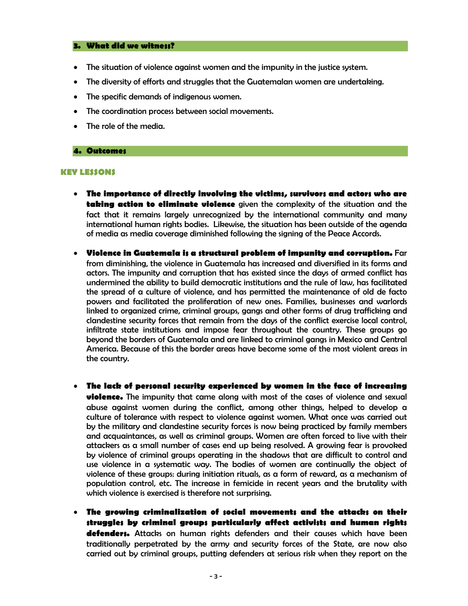### **3. What did we witness?**

- The situation of violence against women and the impunity in the justice system.
- The diversity of efforts and struggles that the Guatemalan women are undertaking.
- The specific demands of indigenous women.
- The coordination process between social movements.
- The role of the media.

### **4. Outcomes**

#### **KEY LESSONS**

- **The importance of directly involving the victims, survivors and actors who are taking action to eliminate violence** given the complexity of the situation and the fact that it remains largely unrecognized by the international community and many international human rights bodies. Likewise, the situation has been outside of the agenda of media as media coverage diminished following the signing of the Peace Accords.
- **Violence in Guatemala is a structural problem of impunity and corruption.** Far from diminishing, the violence in Guatemala has increased and diversified in its forms and actors. The impunity and corruption that has existed since the days of armed conflict has undermined the ability to build democratic institutions and the rule of law, has facilitated the spread of a culture of violence, and has permitted the maintenance of old de facto powers and facilitated the proliferation of new ones. Families, businesses and warlords linked to organized crime, criminal groups, gangs and other forms of drug trafficking and clandestine security forces that remain from the days of the conflict exercise local control, infiltrate state institutions and impose fear throughout the country. These groups go beyond the borders of Guatemala and are linked to criminal gangs in Mexico and Central America. Because of this the border areas have become some of the most violent areas in the country.
- **The lack of personal security experienced by women in the face of increasing violence.** The impunity that came along with most of the cases of violence and sexual abuse against women during the conflict, among other things, helped to develop a culture of tolerance with respect to violence against women. What once was carried out by the military and clandestine security forces is now being practiced by family members and acquaintances, as well as criminal groups. Women are often forced to live with their attackers as a small number of cases end up being resolved. A growing fear is provoked by violence of criminal groups operating in the shadows that are difficult to control and use violence in a systematic way. The bodies of women are continually the object of violence of these groups: during initiation rituals, as a form of reward, as a mechanism of population control, etc. The increase in femicide in recent years and the brutality with which violence is exercised is therefore not surprising.
- **The growing criminalization of social movements and the attacks on their struggles by criminal groups particularly affect activists and human rights defenders.** Attacks on human rights defenders and their causes which have been traditionally perpetrated by the army and security forces of the State, are now also carried out by criminal groups, putting defenders at serious risk when they report on the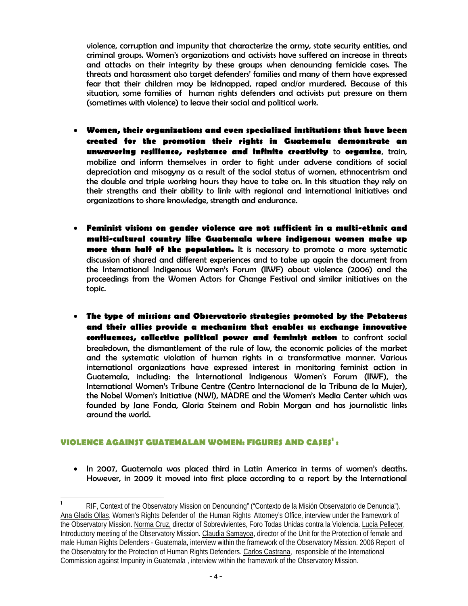violence, corruption and impunity that characterize the army, state security entities, and criminal groups. Women's organizations and activists have suffered an increase in threats and attacks on their integrity by these groups when denouncing femicide cases. The threats and harassment also target defenders' families and many of them have expressed fear that their children may be kidnapped, raped and/or murdered. Because of this situation, some families of human rights defenders and activists put pressure on them (sometimes with violence) to leave their social and political work.

- **Women, their organizations and even specialized institutions that have been created for the promotion their rights in Guatemala demonstrate an unwavering resilience, resistance and infinite creativity** to **organize**, train, mobilize and inform themselves in order to fight under adverse conditions of social depreciation and misogyny as a result of the social status of women, ethnocentrism and the double and triple working hours they have to take on. In this situation they rely on their strengths and their ability to link with regional and international initiatives and organizations to share knowledge, strength and endurance.
- **Feminist visions on gender violence are not sufficient in a multi-ethnic and multi-cultural country like Guatemala where indigenous women make up more than half of the population.** It is necessary to promote a more systematic discussion of shared and different experiences and to take up again the document from the International Indigenous Women's Forum (IIWF) about violence (2006) and the proceedings from the Women Actors for Change Festival and similar initiatives on the topic.
- **The type of missions and Observatorio strategies promoted by the Petateras and their allies provide a mechanism that enables us exchange innovative confluences, collective political power and feminist action** to confront social breakdown, the dismantlement of the rule of law, the economic policies of the market and the systematic violation of human rights in a transformative manner. Various international organizations have expressed interest in monitoring feminist action in Guatemala, including: the International Indigenous Women's Forum (IIWF), the International Women's Tribune Centre (Centro Internacional de la Tribuna de la Mujer), the Nobel Women's Initiative (NWI), MADRE and the Women's Media Center which was founded by Jane Fonda, Gloria Steinem and Robin Morgan and has journalistic links around the world.

# **VIOLENCE AGAINST GUATEMALAN WOMEN: FIGURES AND CASES1 :**

• In 2007, Guatemala was placed third in Latin America in terms of women's deaths. However, in 2009 it moved into first place according to a report by the International

<sup>-&</sup>lt;br>1 RIF, Context of the Observatory Mission on Denouncing" ("Contexto de la Misión Observatorio de Denuncia"). Ana Gladis Ollas, Women's Rights Defender of the Human Rights Attorney's Office, interview under the framework of the Observatory Mission. Norma Cruz, director of Sobrevivientes, Foro Todas Unidas contra la Violencia. Lucía Pellecer, Introductory meeting of the Observatory Mission. Claudia Samayoa, director of the Unit for the Protection of female and male Human Rights Defenders - Guatemala, interview within the framework of the Observatory Mission. 2006 Report of the Observatory for the Protection of Human Rights Defenders. Carlos Castrana, responsible of the International Commission against Impunity in Guatemala , interview within the framework of the Observatory Mission.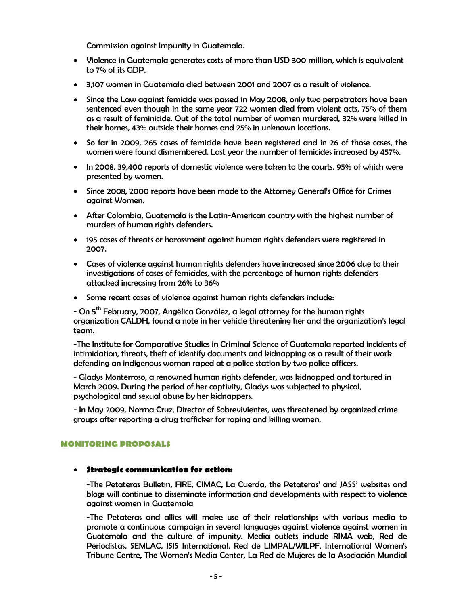Commission against Impunity in Guatemala.

- Violence in Guatemala generates costs of more than USD 300 million, which is equivalent to 7% of its GDP.
- 3,107 women in Guatemala died between 2001 and 2007 as a result of violence.
- Since the Law against femicide was passed in May 2008, only two perpetrators have been sentenced even though in the same year 722 women died from violent acts, 75% of them as a result of feminicide. Out of the total number of women murdered, 32% were killed in their homes, 43% outside their homes and 25% in unknown locations.
- So far in 2009, 265 cases of femicide have been registered and in 26 of those cases, the women were found dismembered. Last year the number of femicides increased by 457%.
- In 2008, 39,400 reports of domestic violence were taken to the courts, 95% of which were presented by women.
- Since 2008, 2000 reports have been made to the Attorney General's Office for Crimes against Women.
- After Colombia, Guatemala is the Latin-American country with the highest number of murders of human rights defenders.
- 195 cases of threats or harassment against human rights defenders were registered in 2007.
- Cases of violence against human rights defenders have increased since 2006 due to their investigations of cases of femicides, with the percentage of human rights defenders attacked increasing from 26% to 36%
- Some recent cases of violence against human rights defenders include:

- On 5<sup>th</sup> February, 2007, Angélica González, a legal attorney for the human rights organization CALDH, found a note in her vehicle threatening her and the organization's legal team.

-The Institute for Comparative Studies in Criminal Science of Guatemala reported incidents of intimidation, threats, theft of identify documents and kidnapping as a result of their work defending an indigenous woman raped at a police station by two police officers.

- Gladys Monterroso, a renowned human rights defender, was kidnapped and tortured in March 2009. During the period of her captivity, Gladys was subjected to physical, psychological and sexual abuse by her kidnappers.

- In May 2009, Norma Cruz, Director of Sobrevivientes, was threatened by organized crime groups after reporting a drug trafficker for raping and killing women.

## **MONITORING PROPOSALS**

### **Strategic communication for action:**

-The Petateras Bulletin, FIRE, CIMAC, La Cuerda, the Petateras' and JASS' websites and blogs will continue to disseminate information and developments with respect to violence against women in Guatemala

-The Petateras and allies will make use of their relationships with various media to promote a continuous campaign in several languages against violence against women in Guatemala and the culture of impunity. Media outlets include RIMA web, Red de Periodistas, SEMLAC, ISIS International, Red de LIMPAL/WILPF, International Women's Tribune Centre, The Women's Media Center, La Red de Mujeres de la Asociación Mundial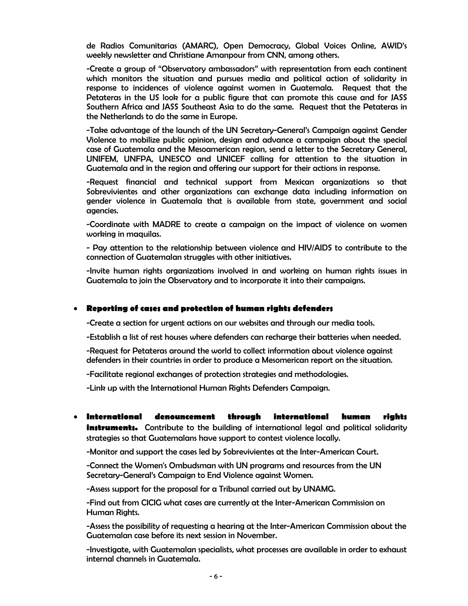de Radios Comunitarias (AMARC), Open Democracy, Global Voices Online, AWID's weekly newsletter and Christiane Amanpour from CNN, among others.

-Create a group of "Observatory ambassadors" with representation from each continent which monitors the situation and pursues media and political action of solidarity in response to incidences of violence against women in Guatemala. Request that the Petateras in the US look for a public figure that can promote this cause and for JASS Southern Africa and JASS Southeast Asia to do the same. Request that the Petateras in the Netherlands to do the same in Europe.

-Take advantage of the launch of the UN Secretary-General's Campaign against Gender Violence to mobilize public opinion, design and advance a campaign about the special case of Guatemala and the Mesoamerican region, send a letter to the Secretary General, UNIFEM, UNFPA, UNESCO and UNICEF calling for attention to the situation in Guatemala and in the region and offering our support for their actions in response.

-Request financial and technical support from Mexican organizations so that Sobrevivientes and other organizations can exchange data including information on gender violence in Guatemala that is available from state, government and social agencies.

-Coordinate with MADRE to create a campaign on the impact of violence on women working in maquilas.

- Pay attention to the relationship between violence and HIV/AIDS to contribute to the connection of Guatemalan struggles with other initiatives.

-Invite human rights organizations involved in and working on human rights issues in Guatemala to join the Observatory and to incorporate it into their campaigns.

## **Reporting of cases and protection of human rights defenders**

-Create a section for urgent actions on our websites and through our media tools.

-Establish a list of rest houses where defenders can recharge their batteries when needed.

-Request for Petateras around the world to collect information about violence against defenders in their countries in order to produce a Mesomerican report on the situation.

-Facilitate regional exchanges of protection strategies and methodologies.

-Link up with the International Human Rights Defenders Campaign.

 **International denouncement through international human rights instruments.** Contribute to the building of international legal and political solidarity strategies so that Guatemalans have support to contest violence locally.

-Monitor and support the cases led by Sobrevivientes at the Inter-American Court.

-Connect the Women's Ombudsman with UN programs and resources from the UN Secretary-General's Campaign to End Violence against Women.

-Assess support for the proposal for a Tribunal carried out by UNAMG.

-Find out from CICIG what cases are currently at the Inter-American Commission on Human Rights.

-Assess the possibility of requesting a hearing at the Inter-American Commission about the Guatemalan case before its next session in November.

-Investigate, with Guatemalan specialists, what processes are available in order to exhaust internal channels in Guatemala.